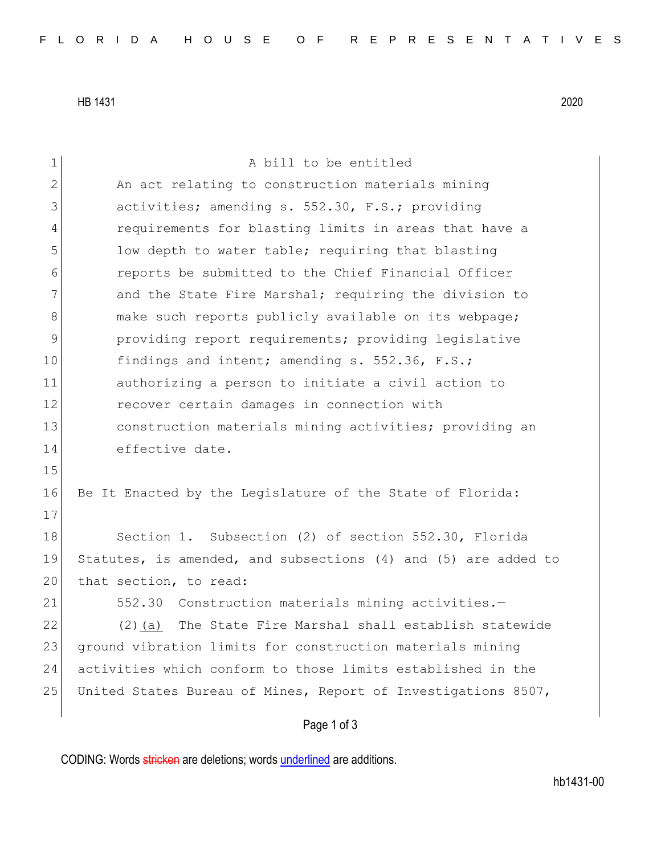HB 1431 2020

| $\mathbf 1$  | A bill to be entitled                                          |
|--------------|----------------------------------------------------------------|
| $\mathbf{2}$ | An act relating to construction materials mining               |
| 3            | activities; amending s. 552.30, F.S.; providing                |
| 4            | requirements for blasting limits in areas that have a          |
| 5            | low depth to water table; requiring that blasting              |
| 6            | reports be submitted to the Chief Financial Officer            |
| 7            | and the State Fire Marshal; requiring the division to          |
| 8            | make such reports publicly available on its webpage;           |
| 9            | providing report requirements; providing legislative           |
| 10           | findings and intent; amending s. 552.36, F.S.;                 |
| 11           | authorizing a person to initiate a civil action to             |
| 12           | recover certain damages in connection with                     |
| 13           | construction materials mining activities; providing an         |
| 14           | effective date.                                                |
| 15           |                                                                |
| 16           | Be It Enacted by the Legislature of the State of Florida:      |
| 17           |                                                                |
| 18           | Section 1. Subsection (2) of section 552.30, Florida           |
| 19           | Statutes, is amended, and subsections (4) and (5) are added to |
| 20           | that section, to read:                                         |
| 21           | 552.30 Construction materials mining activities.-              |
| 22           | The State Fire Marshal shall establish statewide<br>$(2)$ (a)  |
| 23           | ground vibration limits for construction materials mining      |
| 24           | activities which conform to those limits established in the    |
| 25           | United States Bureau of Mines, Report of Investigations 8507,  |
|              | Page 1 of 3                                                    |

CODING: Words stricken are deletions; words underlined are additions.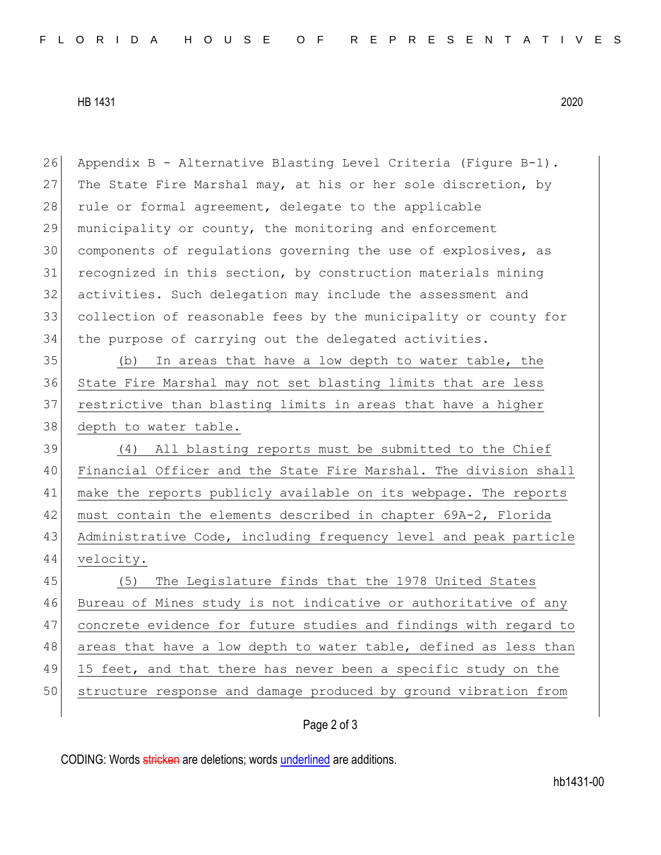HB 1431 2020

 Appendix B - Alternative Blasting Level Criteria (Figure B-1). 27 The State Fire Marshal may, at his or her sole discretion, by 28 rule or formal agreement, delegate to the applicable municipality or county, the monitoring and enforcement components of regulations governing the use of explosives, as 31 recognized in this section, by construction materials mining activities. Such delegation may include the assessment and collection of reasonable fees by the municipality or county for the purpose of carrying out the delegated activities. 35 (b) In areas that have a low depth to water table, the State Fire Marshal may not set blasting limits that are less restrictive than blasting limits in areas that have a higher 38 depth to water table. (4) All blasting reports must be submitted to the Chief Financial Officer and the State Fire Marshal. The division shall make the reports publicly available on its webpage. The reports must contain the elements described in chapter 69A-2, Florida Administrative Code, including frequency level and peak particle velocity. 45 (5) The Legislature finds that the 1978 United States Bureau of Mines study is not indicative or authoritative of any concrete evidence for future studies and findings with regard to 48 areas that have a low depth to water table, defined as less than 49 15 feet, and that there has never been a specific study on the structure response and damage produced by ground vibration from

## Page 2 of 3

CODING: Words stricken are deletions; words underlined are additions.